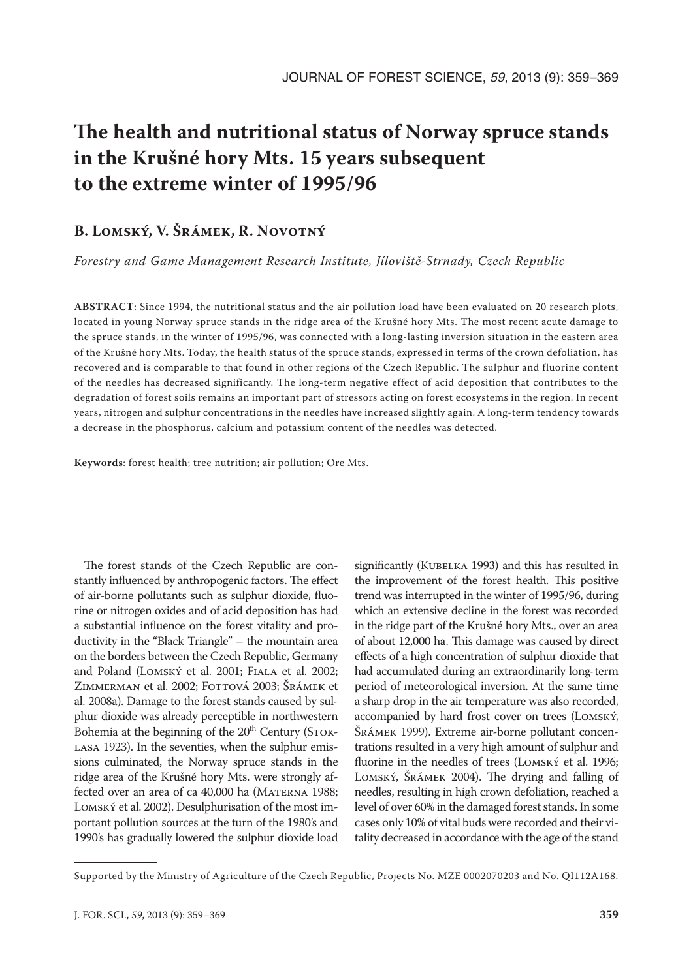# **The health and nutritional status of Norway spruce stands in the Krušné hory Mts. 15 years subsequent to the extreme winter of 1995/96**

# **B. Lomský, V. Šrámek, R. Novotný**

*Forestry and Game Management Research Institute, Jíloviště-Strnady, Czech Republic*

**ABSTRACT**: Since 1994, the nutritional status and the air pollution load have been evaluated on 20 research plots, located in young Norway spruce stands in the ridge area of the Krušné hory Mts. The most recent acute damage to the spruce stands, in the winter of 1995/96, was connected with a long-lasting inversion situation in the eastern area of the Krušné hory Mts. Today, the health status of the spruce stands, expressed in terms of the crown defoliation, has recovered and is comparable to that found in other regions of the Czech Republic. The sulphur and fluorine content of the needles has decreased significantly. The long-term negative effect of acid deposition that contributes to the degradation of forest soils remains an important part of stressors acting on forest ecosystems in the region. In recent years, nitrogen and sulphur concentrations in the needles have increased slightly again. A long-term tendency towards a decrease in the phosphorus, calcium and potassium content of the needles was detected.

**Keywords**: forest health; tree nutrition; air pollution; Ore Mts.

The forest stands of the Czech Republic are constantly influenced by anthropogenic factors. The effect of air-borne pollutants such as sulphur dioxide, fluorine or nitrogen oxides and of acid deposition has had a substantial influence on the forest vitality and productivity in the "Black Triangle" – the mountain area on the borders between the Czech Republic, Germany and Poland (Lomský et al. 2001; Fiala et al. 2002; Zimmerman et al. 2002; Fottová 2003; Šrámek et al. 2008a). Damage to the forest stands caused by sulphur dioxide was already perceptible in northwestern Bohemia at the beginning of the  $20<sup>th</sup>$  Century (STOK-LASA 1923). In the seventies, when the sulphur emissions culminated, the Norway spruce stands in the ridge area of the Krušné hory Mts. were strongly affected over an area of ca 40,000 ha (MATERNA 1988; LOMSKÝ et al. 2002). Desulphurisation of the most important pollution sources at the turn of the 1980's and 1990's has gradually lowered the sulphur dioxide load

significantly (KUBELKA 1993) and this has resulted in the improvement of the forest health. This positive trend was interrupted in the winter of 1995/96, during which an extensive decline in the forest was recorded in the ridge part of the Krušné hory Mts., over an area of about 12,000 ha. This damage was caused by direct effects of a high concentration of sulphur dioxide that had accumulated during an extraordinarily long-term period of meteorological inversion. At the same time a sharp drop in the air temperature was also recorded, accompanied by hard frost cover on trees (Lomský, Šrámek 1999). Extreme air-borne pollutant concentrations resulted in a very high amount of sulphur and fluorine in the needles of trees (LOMSKÝ et al. 1996; Lomský, Šrámek 2004). The drying and falling of needles, resulting in high crown defoliation, reached a level of over 60% in the damaged forest stands. In some cases only 10% of vital buds were recorded and their vitality decreased in accordance with the age of the stand

Supported by the Ministry of Agriculture of the Czech Republic, Projects No. MZE 0002070203 and No. QI112A168.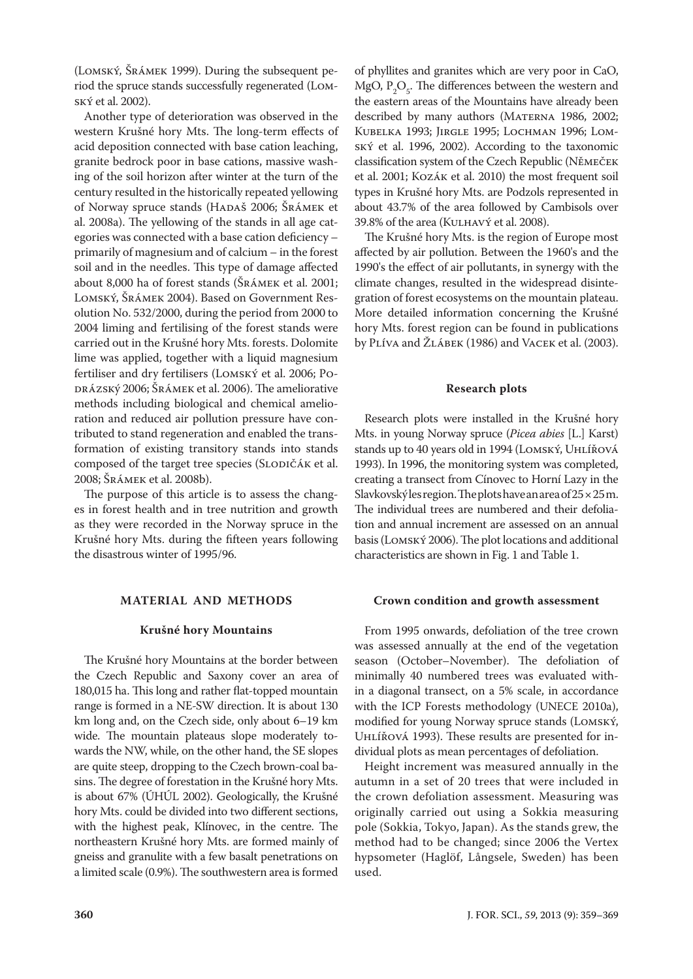(Lomský, Šrámek 1999). During the subsequent period the spruce stands successfully regenerated (Lomský et al. 2002).

Another type of deterioration was observed in the western Krušné hory Mts. The long-term effects of acid deposition connected with base cation leaching, granite bedrock poor in base cations, massive washing of the soil horizon after winter at the turn of the century resulted in the historically repeated yellowing of Norway spruce stands (HADAŠ 2006; ŠRÁMEK et al. 2008a). The yellowing of the stands in all age categories was connected with a base cation deficiency – primarily of magnesium and of calcium – in the forest soil and in the needles. This type of damage affected about 8,000 ha of forest stands (Šrámek et al. 2001; Lomský, Šrámek 2004). Based on Government Resolution No. 532/2000, during the period from 2000 to 2004 liming and fertilising of the forest stands were carried out in the Krušné hory Mts. forests. Dolomite lime was applied, together with a liquid magnesium fertiliser and dry fertilisers (Lomský et al. 2006; Podrázský 2006; Šrámek et al. 2006). The ameliorative methods including biological and chemical amelioration and reduced air pollution pressure have contributed to stand regeneration and enabled the transformation of existing transitory stands into stands composed of the target tree species (SLODIČÁK et al. 2008; Šrámek et al. 2008b).

The purpose of this article is to assess the changes in forest health and in tree nutrition and growth as they were recorded in the Norway spruce in the Krušné hory Mts. during the fifteen years following the disastrous winter of 1995/96.

### **MATERIAL AND METHODS**

#### **Krušné hory Mountains**

The Krušné hory Mountains at the border between the Czech Republic and Saxony cover an area of 180,015 ha. This long and rather flat-topped mountain range is formed in a NE-SW direction. It is about 130 km long and, on the Czech side, only about 6–19 km wide. The mountain plateaus slope moderately towards the NW, while, on the other hand, the SE slopes are quite steep, dropping to the Czech brown-coal basins. The degree of forestation in the Krušné hory Mts. is about 67% (ÚHÚL 2002). Geologically, the Krušné hory Mts. could be divided into two different sections, with the highest peak, Klínovec, in the centre. The northeastern Krušné hory Mts. are formed mainly of gneiss and granulite with a few basalt penetrations on a limited scale (0.9%). The southwestern area is formed of phyllites and granites which are very poor in CaO, MgO,  $P_2O_5$ . The differences between the western and the eastern areas of the Mountains have already been described by many authors (MATERNA 1986, 2002; Kubelka 1993; Jirgle 1995; Lochman 1996; Lomský et al. 1996, 2002). According to the taxonomic classification system of the Czech Republic (Němeček et al. 2001; Kozák et al. 2010) the most frequent soil types in Krušné hory Mts. are Podzols represented in about 43.7% of the area followed by Cambisols over 39.8% of the area (Kulhavý et al. 2008).

The Krušné hory Mts. is the region of Europe most affected by air pollution. Between the 1960's and the 1990's the effect of air pollutants, in synergy with the climate changes, resulted in the widespread disintegration of forest ecosystems on the mountain plateau. More detailed information concerning the Krušné hory Mts. forest region can be found in publications by Plíva and Žlábek (1986) and Vacek et al. (2003).

#### **Research plots**

Research plots were installed in the Krušné hory Mts. in young Norway spruce (*Picea abies* [L.] Karst) stands up to 40 years old in 1994 (LOMSKÝ, UHLÍŘOVÁ 1993). In 1996, the monitoring system was completed, creating a transect from Cínovec to Horní Lazy in the Slavkovský les region. The plots have an area of 25 × 25 m. The individual trees are numbered and their defoliation and annual increment are assessed on an annual basis (LOMSKÝ 2006). The plot locations and additional characteristics are shown in Fig. 1 and Table 1.

#### **Crown condition and growth assessment**

From 1995 onwards, defoliation of the tree crown was assessed annually at the end of the vegetation season (October–November). The defoliation of minimally 40 numbered trees was evaluated within a diagonal transect, on a 5% scale, in accordance with the ICP Forests methodology (UNECE 2010a), modified for young Norway spruce stands (Lomský, Uhlířová 1993). These results are presented for individual plots as mean percentages of defoliation.

Height increment was measured annually in the autumn in a set of 20 trees that were included in the crown defoliation assessment. Measuring was originally carried out using a Sokkia measuring pole (Sokkia, Tokyo, Japan). As the stands grew, the method had to be changed; since 2006 the Vertex hypsometer (Haglöf, Långsele, Sweden) has been used.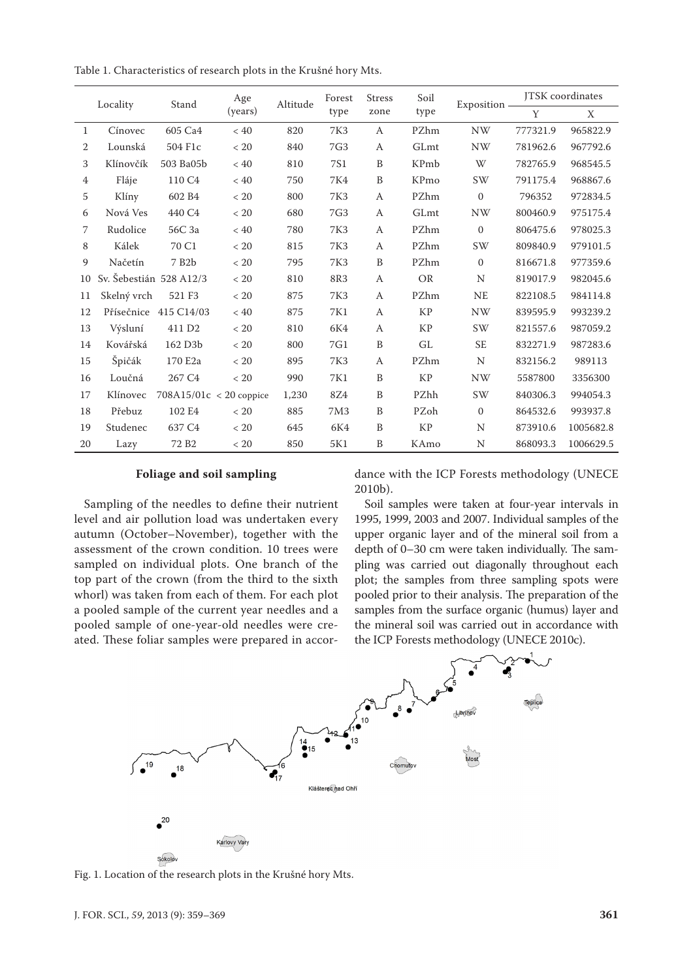Table 1. Characteristics of research plots in the Krušné hory Mts.

| Locality       |                         | Stand                     | Age<br>(years) | Altitude | Forest<br>type  | <b>Stress</b><br>zone | Soil<br>type | Exposition - | <b>ITSK</b> coordinates |           |
|----------------|-------------------------|---------------------------|----------------|----------|-----------------|-----------------------|--------------|--------------|-------------------------|-----------|
|                |                         |                           |                |          |                 |                       |              |              | Y                       | X         |
| 1              | Cínovec                 | 605 Ca4                   | < 40           | 820      | <b>7K3</b>      | $\mathbf{A}$          | <b>PZhm</b>  | <b>NW</b>    | 777321.9                | 965822.9  |
| 2              | Lounská                 | 504 F1c                   | < 20           | 840      | 7G3             | A                     | GLmt         | <b>NW</b>    | 781962.6                | 967792.6  |
| 3              | Klínovčík               | 503 Ba05b                 | $< 40$         | 810      | <b>7S1</b>      | B                     | KPmb         | W            | 782765.9                | 968545.5  |
| $\overline{4}$ | Fláje                   | 110 C <sub>4</sub>        | < 40           | 750      | 7K4             | B                     | KPmo         | SW           | 791175.4                | 968867.6  |
| 5              | Klíny                   | 602 B4                    | < 20           | 800      | 7K3             | A                     | PZhm         | $\mathbf{0}$ | 796352                  | 972834.5  |
| 6              | Nová Ves                | 440 C4                    | < 20           | 680      | 7G3             | A                     | GLmt         | <b>NW</b>    | 800460.9                | 975175.4  |
| 7              | Rudolice                | 56C 3a                    | < 40           | 780      | 7K3             | A                     | PZhm         | $\mathbf{0}$ | 806475.6                | 978025.3  |
| 8              | Kálek                   | 70 C1                     | < 20           | 815      | <b>7K3</b>      | A                     | PZhm         | SW           | 809840.9                | 979101.5  |
| 9              | Načetín                 | 7 B <sub>2</sub> b        | < 20           | 795      | <b>7K3</b>      | B                     | PZhm         | $\mathbf{0}$ | 816671.8                | 977359.6  |
| 10             | Sv. Šebestián 528 A12/3 |                           | < 20           | 810      | 8R3             | A                     | <b>OR</b>    | N            | 819017.9                | 982045.6  |
| 11             | Skelný vrch             | 521 F3                    | $< 20$         | 875      | <b>7K3</b>      | A                     | PZhm         | <b>NE</b>    | 822108.5                | 984114.8  |
| 12             | Přísečnice              | 415 C14/03                | $< 40$         | 875      | 7K1             | A                     | <b>KP</b>    | <b>NW</b>    | 839595.9                | 993239.2  |
| 13             | Výsluní                 | 411 D <sub>2</sub>        | < 20           | 810      | 6K4             | A                     | KP           | SW           | 821557.6                | 987059.2  |
| 14             | Kovářská                | 162 D <sub>3</sub> b      | < 20           | 800      | 7G1             | B                     | GL           | <b>SE</b>    | 832271.9                | 987283.6  |
| 15             | Špičák                  | 170 E2a                   | $< 20$         | 895      | <b>7K3</b>      | A                     | PZhm         | N            | 832156.2                | 989113    |
| 16             | Loučná                  | 267 C <sub>4</sub>        | < 20           | 990      | 7K1             | B                     | KP           | <b>NW</b>    | 5587800                 | 3356300   |
| 17             | Klínovec                | $708A15/01c < 20$ coppice |                | 1,230    | 8Z4             | B                     | PZhh         | SW           | 840306.3                | 994054.3  |
| 18             | Přebuz                  | 102 E4                    | < 20           | 885      | 7M <sub>3</sub> | B                     | PZoh         | $\mathbf{0}$ | 864532.6                | 993937.8  |
| 19             | Studenec                | 637 C <sub>4</sub>        | < 20           | 645      | 6K4             | B                     | KP           | N            | 873910.6                | 1005682.8 |
| 20             | Lazy                    | 72 B <sub>2</sub>         | < 20           | 850      | 5K1             | B                     | KAmo         | N            | 868093.3                | 1006629.5 |

#### **Foliage and soil sampling**

dance with the ICP Forests methodology (UNECE 2010b).

Sampling of the needles to define their nutrient level and air pollution load was undertaken every autumn (October–November), together with the assessment of the crown condition. 10 trees were sampled on individual plots. One branch of the top part of the crown (from the third to the sixth whorl) was taken from each of them. For each plot a pooled sample of the current year needles and a pooled sample of one-year-old needles were created. These foliar samples were prepared in accor-

Soil samples were taken at four-year intervals in 1995, 1999, 2003 and 2007. Individual samples of the upper organic layer and of the mineral soil from a depth of 0–30 cm were taken individually. The sampling was carried out diagonally throughout each plot; the samples from three sampling spots were pooled prior to their analysis. The preparation of the samples from the surface organic (humus) layer and the mineral soil was carried out in accordance with the ICP Forests methodology (UNECE 2010c).



Fig. 1. Location of the research plots in the Krušné hory Mts.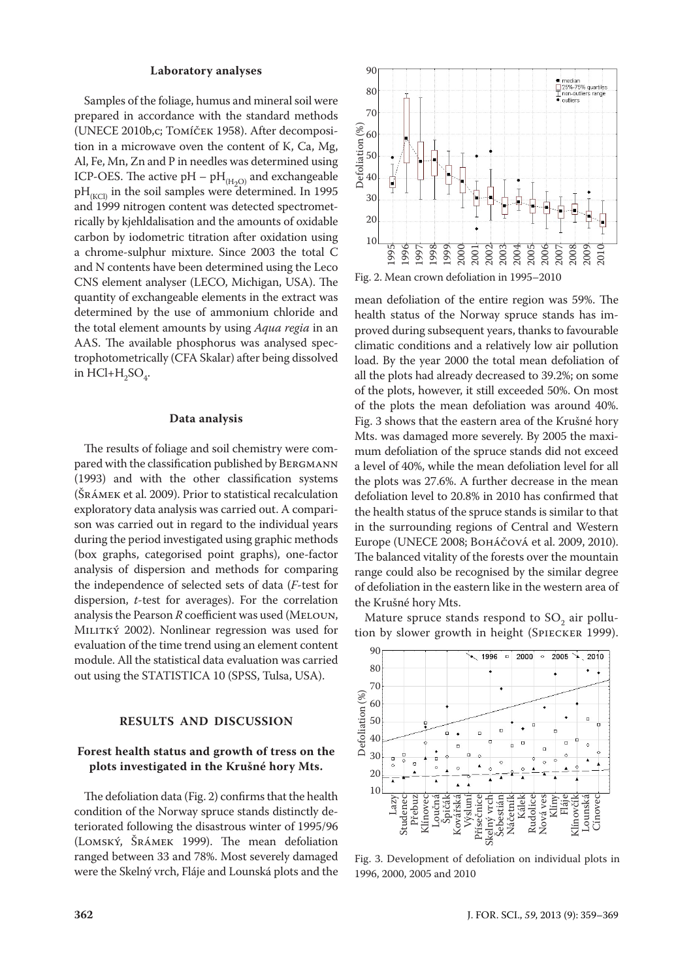#### **Laboratory analyses**

Samples of the foliage, humus and mineral soil were prepared in accordance with the standard methods (UNECE 2010b,c; Tomíček 1958). After decomposition in a microwave oven the content of K, Ca, Mg, Al, Fe, Mn, Zn and P in needles was determined using ICP-OES. The active  $pH - pH_{(H_2O)}$  and exchangeable  $pH_{(KCl)}$  in the soil samples were determined. In 1995 and 1999 nitrogen content was detected spectrometrically by kjehldalisation and the amounts of oxidable carbon by iodometric titration after oxidation using a chrome-sulphur mixture. Since 2003 the total C and N contents have been determined using the Leco CNS element analyser (LECO, Michigan, USA). The quantity of exchangeable elements in the extract was determined by the use of ammonium chloride and the total element amounts by using *Aqua regia* in an AAS. The available phosphorus was analysed spectrophotometrically (CFA Skalar) after being dissolved in  $HCl+H_2SO_4$ .

#### **Data analysis**

The results of foliage and soil chemistry were compared with the classification published by BERGMANN (1993) and with the other classification systems (Šrámek et al. 2009). Prior to statistical recalculation exploratory data analysis was carried out. A comparison was carried out in regard to the individual years during the period investigated using graphic methods (box graphs, categorised point graphs), one-factor analysis of dispersion and methods for comparing the independence of selected sets of data (*F*-test for dispersion, *t*-test for averages). For the correlation analysis the Pearson *R* coefficient was used (MELOUN, MILITKÝ 2002). Nonlinear regression was used for evaluation of the time trend using an element content module. All the statistical data evaluation was carried out using the STATISTICA 10 (SPSS, Tulsa, USA).

#### **RESULTS AND DISCUSSION**

## **Forest health status and growth of tress on the plots investigated in the Krušné hory Mts.**

The defoliation data (Fig. 2) confirms that the health condition of the Norway spruce stands distinctly deteriorated following the disastrous winter of 1995/96 (Lomský, Šrámek 1999). The mean defoliation ranged between 33 and 78%. Most severely damaged were the Skelný vrch, Fláje and Lounská plots and the



mean defoliation of the entire region was 59%. The health status of the Norway spruce stands has improved during subsequent years, thanks to favourable climatic conditions and a relatively low air pollution load. By the year 2000 the total mean defoliation of all the plots had already decreased to 39.2%; on some of the plots, however, it still exceeded 50%. On most of the plots the mean defoliation was around 40%. Fig. 3 shows that the eastern area of the Krušné hory Mts. was damaged more severely. By 2005 the maximum defoliation of the spruce stands did not exceed a level of 40%, while the mean defoliation level for all the plots was 27.6%. A further decrease in the mean defoliation level to 20.8% in 2010 has confirmed that the health status of the spruce stands is similar to that in the surrounding regions of Central and Western Europe (UNECE 2008; Boháčová et al. 2009, 2010). The balanced vitality of the forests over the mountain range could also be recognised by the similar degree of defoliation in the eastern like in the western area of the Krušné hory Mts.

Mature spruce stands respond to  $\text{SO}_2$  air pollution by slower growth in height (Spiecker 1999).



Fig. 3. Development of defoliation on individual plots in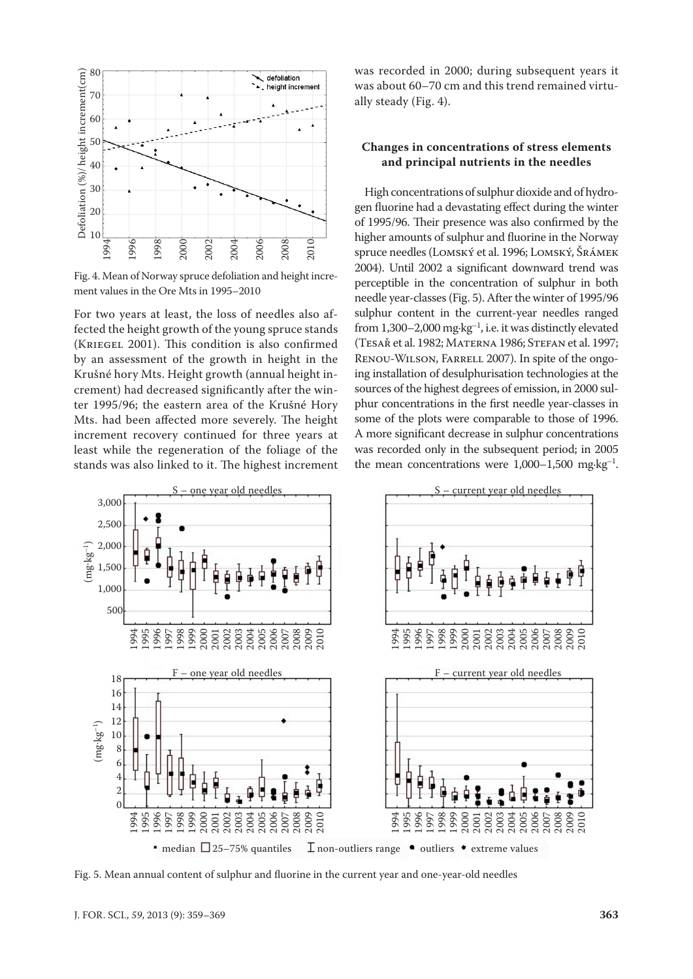

Fig. 4. Mean of Norway spruce defoliation and height incre-

For two years at least, the loss of needles also affected the height growth of the young spruce stands (Kriegel 2001). This condition is also confirmed by an assessment of the growth in height in the Krušné hory Mts. Height growth (annual height increment) had decreased significantly after the winter 1995/96; the eastern area of the Krušné Hory Mts. had been affected more severely. The height increment recovery continued for three years at least while the regeneration of the foliage of the stands was also linked to it. The highest increment was recorded in 2000; during subsequent years it was about 60–70 cm and this trend remained virtually steady (Fig. 4).

# **Changes in concentrations of stress elements and principal nutrients in the needles**

High concentrations of sulphur dioxide and of hydrogen fluorine had a devastating effect during the winter of 1995/96. Their presence was also confirmed by the higher amounts of sulphur and fluorine in the Norway spruce needles (Lomský et al. 1996; Lomský, Šrámek 2004). Until 2002 a significant downward trend was perceptible in the concentration of sulphur in both needle year-classes (Fig. 5). After the winter of 1995/96 sulphur content in the current-year needles ranged from  $1,300-2,000$  mg·kg<sup>-1</sup>, i.e. it was distinctly elevated (Tesař et al. 1982; Materna 1986; Stefan et al. 1997; Renou-Wilson, Farrell 2007). In spite of the ongoing installation of desulphurisation technologies at the sources of the highest degrees of emission, in 2000 sulphur concentrations in the first needle year-classes in some of the plots were comparable to those of 1996. A more significant decrease in sulphur concentrations was recorded only in the subsequent period; in 2005 the mean concentrations were  $1,000-1,500$  mg·kg<sup>-1</sup>.

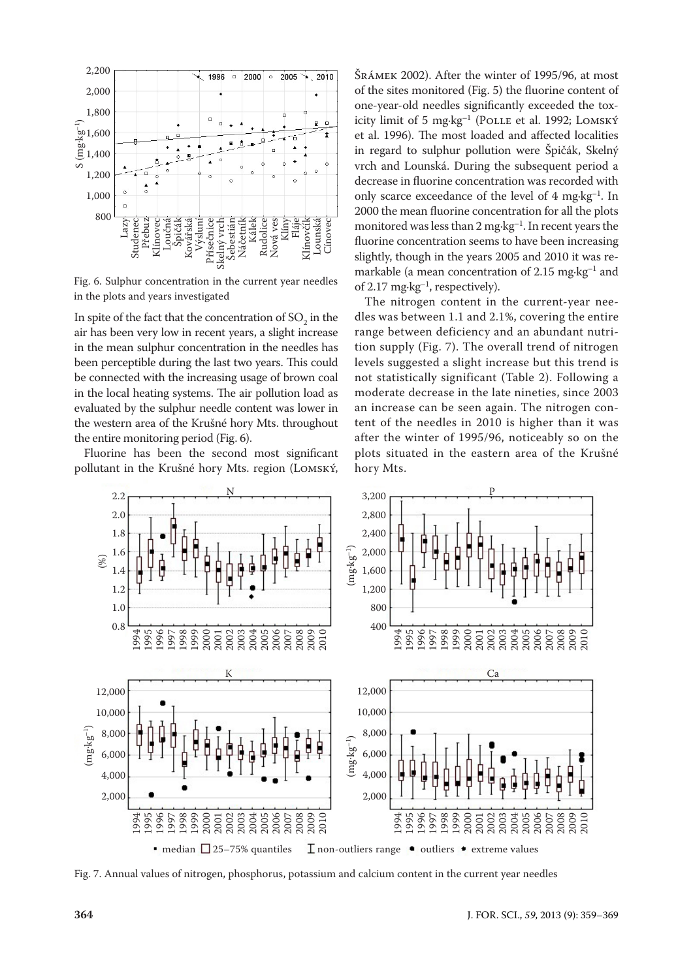

Fig. 6. Sulphur concentration in the current year needles in the plots and years investigated

In spite of the fact that the concentration of  $SO_2$  in the air has been very low in recent years, a slight increase in the mean sulphur concentration in the needles has been perceptible during the last two years. This could be connected with the increasing usage of brown coal in the local heating systems. The air pollution load as evaluated by the sulphur needle content was lower in the western area of the Krušné hory Mts. throughout the entire monitoring period (Fig. 6).

Fluorine has been the second most significant pollutant in the Krušné hory Mts. region (Lomský,

Šrámek 2002). After the winter of 1995/96, at most of the sites monitored (Fig. 5) the fluorine content of one-year-old needles significantly exceeded the toxicity limit of 5 mg·kg–1 (Polle et al. 1992; Lomský et al. 1996). The most loaded and affected localities in regard to sulphur pollution were Špičák, Skelný vrch and Lounská. During the subsequent period a decrease in fluorine concentration was recorded with only scarce exceedance of the level of  $4 \text{ mg} \cdot \text{kg}^{-1}$ . In 2000 the mean fluorine concentration for all the plots monitored was less than 2 mg·kg–1. In recent years the fluorine concentration seems to have been increasing slightly, though in the years 2005 and 2010 it was remarkable (a mean concentration of  $2.15 \text{ mg} \cdot \text{kg}^{-1}$  and of 2.17 mg·kg–1, respectively).

The nitrogen content in the current-year needles was between 1.1 and 2.1%, covering the entire range between deficiency and an abundant nutrition supply (Fig. 7). The overall trend of nitrogen levels suggested a slight increase but this trend is not statistically significant (Table 2). Following a moderate decrease in the late nineties, since 2003 an increase can be seen again. The nitrogen content of the needles in 2010 is higher than it was after the winter of 1995/96, noticeably so on the plots situated in the eastern area of the Krušné hory Mts.



Fig. 7. Annual values of nitrogen, phosphorus, potassium and calcium content in the current year needles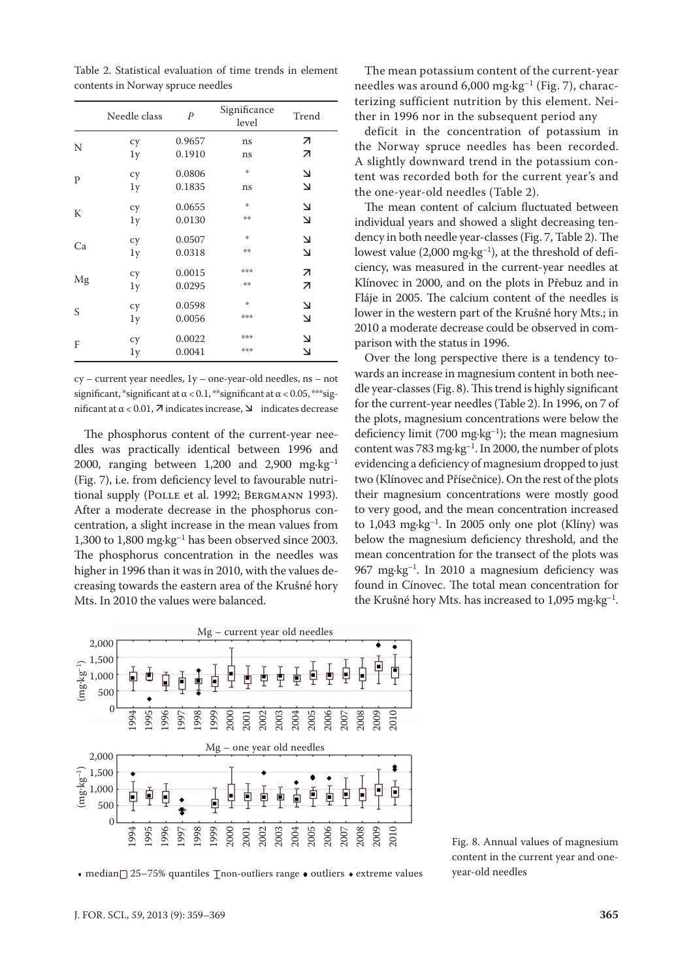Table 2. Statistical evaluation of time trends in element contents in Norway spruce needles

|    | Needle class | $\overline{P}$ | Significance<br>level | Trend                    |
|----|--------------|----------------|-----------------------|--------------------------|
|    | cy           | 0.9657         | ns                    | 7                        |
| N  | 1y           | 0.1910         | ns                    | 7                        |
| P  | cy           | 0.0806         | 崇                     | ٧                        |
|    | 1y           | 0.1835         | ns                    | $\overline{\mathbf{v}}$  |
|    | cy           | 0.0655         | ∗                     | $\Delta$                 |
| K  | 1y           | 0.0130         | 染染                    | لا                       |
|    | cy           | 0.0507         | 垛                     | 7                        |
| Ca | 1y           | 0.0318         | 染染                    | $\overline{\mathbf{z}}$  |
|    | cy           | 0.0015         | ***                   | ↗                        |
| Mg | 1y           | 0.0295         | 染染                    | $\overline{\mathcal{L}}$ |
|    | cy           | 0.0598         | ∗                     | 7                        |
| S  | 1y           | 0.0056         | ***                   | لا                       |
| F  | cy           | 0.0022         | ***                   | $\overline{\mathbf{v}}$  |
|    | 1y           | 0.0041         | ***                   | $\overline{\mathbf{z}}$  |

cy – current year needles, 1y – one-year-old needles, ns *–* not significant, \*significant at  $\alpha$  < 0.1, \*\*significant at  $\alpha$  < 0.05, \*\*\*significant at  $\alpha$  < 0.01,  $\bar{\lambda}$  indicates increase,  $\Delta$  indicates decrease

The phosphorus content of the current-year needles was practically identical between 1996 and 2000, ranging between 1,200 and 2,900  $mg \cdot kg^{-1}$ (Fig. 7), i.e. from deficiency level to favourable nutritional supply (POLLE et al. 1992; BERGMANN 1993). After a moderate decrease in the phosphorus concentration, a slight increase in the mean values from 1,300 to 1,800 mg·kg–1 has been observed since 2003. The phosphorus concentration in the needles was higher in 1996 than it was in 2010, with the values decreasing towards the eastern area of the Krušné hory Mts. In 2010 the values were balanced.

The mean potassium content of the current-year needles was around  $6,000$  mg·kg<sup>-1</sup> (Fig. 7), characterizing sufficient nutrition by this element. Neither in 1996 nor in the subsequent period any

deficit in the concentration of potassium in the Norway spruce needles has been recorded. A slightly downward trend in the potassium content was recorded both for the current year's and the one-year-old needles (Table 2).

The mean content of calcium fluctuated between individual years and showed a slight decreasing tendency in both needle year-classes (Fig. 7, Table 2). The lowest value  $(2,000 \text{ mg} \cdot \text{kg}^{-1})$ , at the threshold of deficiency, was measured in the current-year needles at Klínovec in 2000, and on the plots in Přebuz and in Fláje in 2005. The calcium content of the needles is lower in the western part of the Krušné hory Mts.; in 2010 a moderate decrease could be observed in comparison with the status in 1996.

Over the long perspective there is a tendency towards an increase in magnesium content in both needle year-classes (Fig. 8). This trend is highly significant for the current-year needles (Table 2). In 1996, on 7 of the plots, magnesium concentrations were below the deficiency limit (700 mg·kg<sup>-1</sup>); the mean magnesium content was 783 mg·kg–1. In 2000, the number of plots evidencing a deficiency of magnesium dropped to just two (Klínovec and Přísečnice). On the rest of the plots their magnesium concentrations were mostly good to very good, and the mean concentration increased to  $1,043$  mg·kg<sup>-1</sup>. In 2005 only one plot (Klíny) was below the magnesium deficiency threshold, and the mean concentration for the transect of the plots was 967 mg·kg<sup>-1</sup>. In 2010 a magnesium deficiency was found in Cínovec. The total mean concentration for the Krušné hory Mts. has increased to  $1,095$  mg·kg<sup>-1</sup>.



Fig. 8. Annual values of magnesium content in the current year and oneyear-old needles

■ median $□$  25–75% quantiles  $□$  non-outliers range  $□$  outliers  $\bullet$  extreme values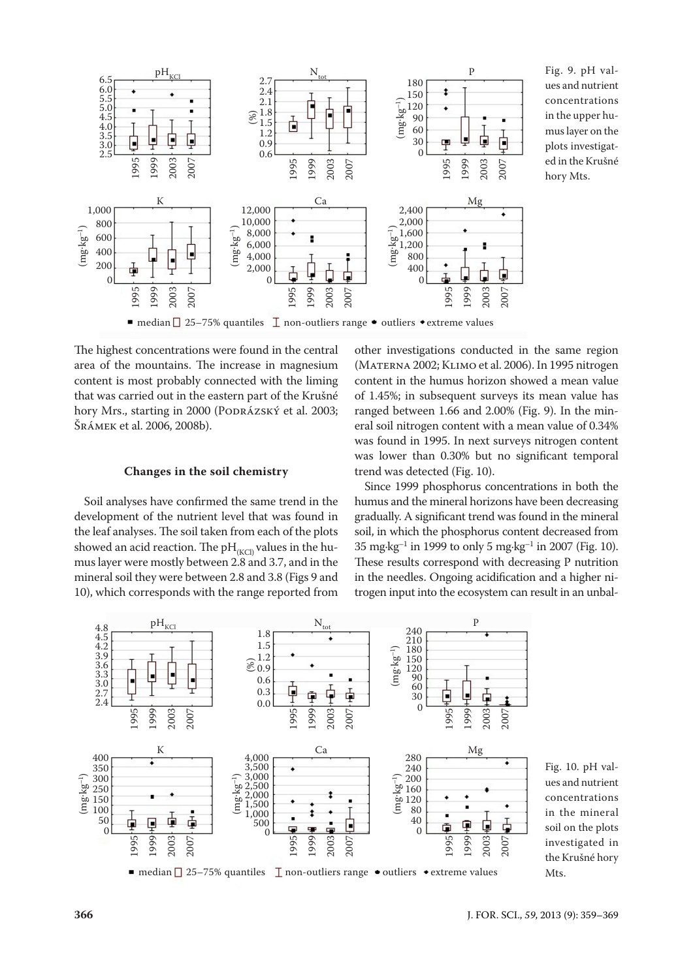

Fig. 9. pH values and nutrient concentrations in the upper humus layer on the plots investigated in the Krušné hory Mts.

• median  $\Box$  25–75% quantiles  $\Box$  non-outliers range • outliers • extreme values

The highest concentrations were found in the central area of the mountains. The increase in magnesium content is most probably connected with the liming that was carried out in the eastern part of the Krušné hory Mrs., starting in 2000 (PODRÁZSKÝ et al. 2003; Šrámek et al. 2006, 2008b).

#### **Changes in the soil chemistry**

Soil analyses have confirmed the same trend in the development of the nutrient level that was found in the leaf analyses. The soil taken from each of the plots showed an acid reaction. The  $pH_{(KCl)}$  values in the humus layer were mostly between 2.8 and 3.7, and in the mineral soil they were between 2.8 and 3.8 (Figs 9 and 10), which corresponds with the range reported from other investigations conducted in the same region (Materna 2002; Klimo et al. 2006). In 1995 nitrogen content in the humus horizon showed a mean value of 1.45%; in subsequent surveys its mean value has ranged between 1.66 and 2.00% (Fig. 9). In the mineral soil nitrogen content with a mean value of 0.34% was found in 1995. In next surveys nitrogen content was lower than 0.30% but no significant temporal trend was detected (Fig. 10).

Since 1999 phosphorus concentrations in both the humus and the mineral horizons have been decreasing gradually. A significant trend was found in the mineral soil, in which the phosphorus content decreased from 35 mg·kg<sup>-1</sup> in 1999 to only 5 mg·kg<sup>-1</sup> in 2007 (Fig. 10). These results correspond with decreasing P nutrition in the needles. Ongoing acidification and a higher nitrogen input into the ecosystem can result in an unbal-



Fig. 10. pH values and nutrient concentrations in the mineral soil on the plots investigated in the Krušné hory Mts.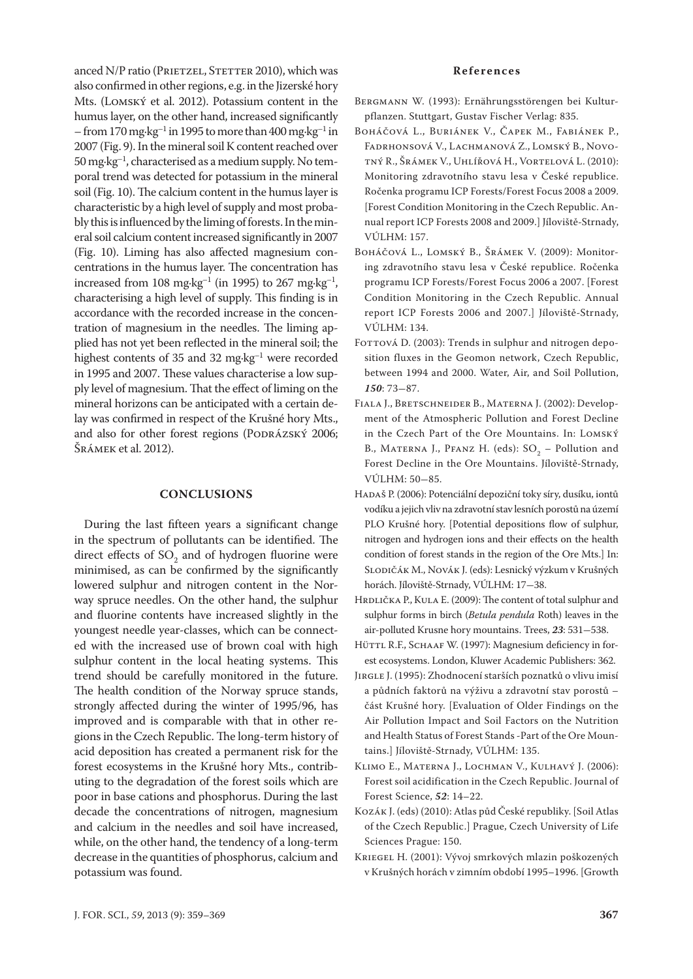anced N/P ratio (PRIETZEL, STETTER 2010), which was also confirmed in other regions, e.g. in the Jizerské hory Mts. (Lomský et al. 2012). Potassium content in the humus layer, on the other hand, increased significantly – from 170 mg·kg<sup>-1</sup> in 1995 to more than 400 mg·kg<sup>-1</sup> in 2007 (Fig. 9). In the mineral soil K content reached over 50 mg·kg–1, characterised as a medium supply. No temporal trend was detected for potassium in the mineral soil (Fig. 10). The calcium content in the humus layer is characteristic by a high level of supply and most probably this is influenced by the liming of forests. In the mineral soil calcium content increased significantly in 2007 (Fig. 10). Liming has also affected magnesium concentrations in the humus layer. The concentration has increased from 108 mg·kg<sup>-1</sup> (in 1995) to 267 mg·kg<sup>-1</sup>, characterising a high level of supply. This finding is in accordance with the recorded increase in the concentration of magnesium in the needles. The liming applied has not yet been reflected in the mineral soil; the highest contents of 35 and 32 mg $kg^{-1}$  were recorded in 1995 and 2007. These values characterise a low supply level of magnesium. That the effect of liming on the mineral horizons can be anticipated with a certain delay was confirmed in respect of the Krušné hory Mts., and also for other forest regions (PODRÁZSKÝ 2006; Šrámek et al. 2012).

# **CONCLUSIONS**

During the last fifteen years a significant change in the spectrum of pollutants can be identified. The direct effects of  $SO_2$  and of hydrogen fluorine were minimised, as can be confirmed by the significantly lowered sulphur and nitrogen content in the Norway spruce needles. On the other hand, the sulphur and fluorine contents have increased slightly in the youngest needle year-classes, which can be connected with the increased use of brown coal with high sulphur content in the local heating systems. This trend should be carefully monitored in the future. The health condition of the Norway spruce stands, strongly affected during the winter of 1995/96, has improved and is comparable with that in other regions in the Czech Republic. The long-term history of acid deposition has created a permanent risk for the forest ecosystems in the Krušné hory Mts., contributing to the degradation of the forest soils which are poor in base cations and phosphorus. During the last decade the concentrations of nitrogen, magnesium and calcium in the needles and soil have increased, while, on the other hand, the tendency of a long-term decrease in the quantities of phosphorus, calcium and potassium was found.

#### **References**

- Bergmann W. (1993): Ernährungsstörengen bei Kulturpflanzen. Stuttgart, Gustav Fischer Verlag: 835.
- Boháčová L., Buriánek V., Čapek M., Fabiánek P., Fadrhonsová V., Lachmanová Z., Lomský B., Novotný R., Šrámek V., Uhlířová H., Vortelová L. (2010): Monitoring zdravotního stavu lesa v České republice. Ročenka programu ICP Forests/Forest Focus 2008 a 2009. [Forest Condition Monitoring in the Czech Republic. Annual report ICP Forests 2008 and 2009.] Jíloviště-Strnady, VÚLHM: 157.
- BOHÁČOVÁ L., LOMSKÝ B., ŠRÁMEK V. (2009): Monitoring zdravotního stavu lesa v České republice. Ročenka programu ICP Forests/Forest Focus 2006 a 2007. [Forest Condition Monitoring in the Czech Republic. Annual report ICP Forests 2006 and 2007.] Jíloviště-Strnady, VÚLHM: 134.
- FOTTOVÁ D. (2003): Trends in sulphur and nitrogen deposition fluxes in the Geomon network, Czech Republic, between 1994 and 2000. Water, Air, and Soil Pollution, *150*: 73-87.
- Fiala J., Bretschneider B., Materna J. (2002): Development of the Atmospheric Pollution and Forest Decline in the Czech Part of the Ore Mountains. In: Lomský B., MATERNA J., PFANZ H. (eds):  $SO_2$  – Pollution and Forest Decline in the Ore Mountains. Jíloviště-Strnady, VÚLHM: 50-85.
- Hadaš P. (2006): Potenciální depoziční toky síry, dusíku, iontů vodíku a jejich vliv na zdravotní stav lesních porostů na území PLO Krušné hory. [Potential depositions flow of sulphur, nitrogen and hydrogen ions and their effects on the health condition of forest stands in the region of the Ore Mts.] In: Slodičák M., Novák J. (eds): Lesnický výzkum v Krušných horách. Jíloviště-Strnady, VÚLHM: 17-38.
- HRDLIČKA P., KULA E. (2009): The content of total sulphur and sulphur forms in birch (*Betula pendula* Roth) leaves in the air-polluted Krusne hory mountains. Trees, *23*: 531-538.
- HÜTTL R.F., SCHAAF W. (1997): Magnesium deficiency in forest ecosystems. London, Kluwer Academic Publishers: 362.
- JIRGLE J. (1995): Zhodnocení starších poznatků o vlivu imisí a půdních faktorů na výživu a zdravotní stav porostů – část Krušné hory. [Evaluation of Older Findings on the Air Pollution Impact and Soil Factors on the Nutrition and Health Status of Forest Stands -Part of the Ore Mountains.] Jíloviště-Strnady, VÚLHM: 135.
- KLIMO E., MATERNA J., LOCHMAN V., KULHAVÝ J. (2006): Forest soil acidification in the Czech Republic. Journal of Forest Science, *52*: 14–22.
- Kozák J. (eds) (2010): Atlas půd České republiky. [Soil Atlas of the Czech Republic.] Prague, Czech University of Life Sciences Prague: 150.
- Kriegel H. (2001): Vývoj smrkových mlazin poškozených v Krušných horách v zimním období 1995–1996. [Growth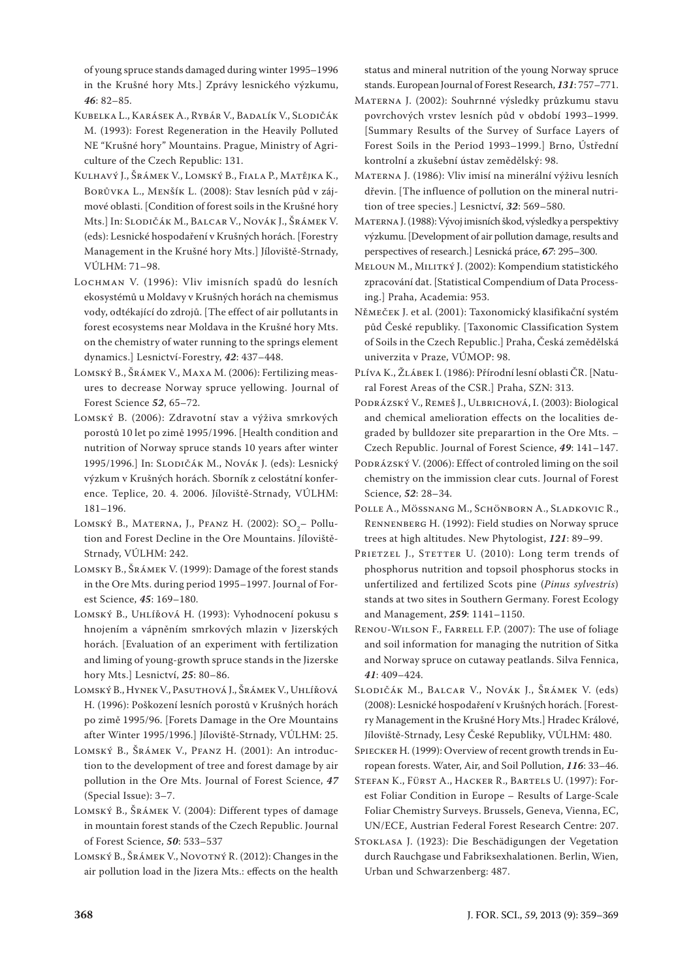of young spruce stands damaged during winter 1995–1996 in the Krušné hory Mts.] Zprávy lesnického výzkumu, *46*: 82–85.

- Kubelka L., Karásek A., Rybár V., Badalík V., Slodičák M. (1993): Forest Regeneration in the Heavily Polluted NE "Krušné hory" Mountains. Prague, Ministry of Agriculture of the Czech Republic: 131.
- Kulhavý J., Šrámek V., Lomský B., Fiala P., Matějka K., Borůvka L., Menšík L. (2008): Stav lesních půd v zájmové oblasti. [Condition of forest soils in the Krušné hory Mts.] In: Slodičák M., Balcar V., Novák J., Šrámek V. (eds): Lesnické hospodaření v Krušných horách. [Forestry Management in the Krušné hory Mts.] Jíloviště-Strnady, VÚLHM: 71–98.
- Lochman V. (1996): Vliv imisních spadů do lesních ekosystémů u Moldavy v Krušných horách na chemismus vody, odtékající do zdrojů. [The effect of air pollutants in forest ecosystems near Moldava in the Krušné hory Mts. on the chemistry of water running to the springs element dynamics.] Lesnictví-Forestry, *42*: 437–448.
- Lomský B., Šrámek V., Maxa M. (2006): Fertilizing measures to decrease Norway spruce yellowing. Journal of Forest Science *52*, 65–72.
- Lomský B. (2006): Zdravotní stav a výživa smrkových porostů 10 let po zimě 1995/1996. [Health condition and nutrition of Norway spruce stands 10 years after winter 1995/1996.] In: Slodičák M., Novák J. (eds): Lesnický výzkum v Krušných horách. Sborník z celostátní konference. Teplice, 20. 4. 2006. Jíloviště-Strnady, VÚLHM: 181–196.
- LOMSKÝ B., MATERNA, J., PFANZ H. (2002):  $SO_2-$  Pollution and Forest Decline in the Ore Mountains. Jíloviště-Strnady, VÚLHM: 242.
- Lomsky B., Šrámek V. (1999): Damage of the forest stands in the Ore Mts. during period 1995–1997. Journal of Forest Science, *45*: 169–180.
- Lomský B., Uhlířová H. (1993): Vyhodnocení pokusu s hnojením a vápněním smrkových mlazin v Jizerských horách. [Evaluation of an experiment with fertilization and liming of young-growth spruce stands in the Jizerske hory Mts.] Lesnictví, *25*: 80–86.
- Lomský B., Hynek V., Pasuthová J., Šrámek V., Uhlířová H. (1996): Poškození lesních porostů v Krušných horách po zimě 1995/96. [Forets Damage in the Ore Mountains after Winter 1995/1996.] Jíloviště-Strnady, VÚLHM: 25.
- Lomský B., Šrámek V., Pfanz H. (2001): An introduction to the development of tree and forest damage by air pollution in the Ore Mts. Journal of Forest Science, *47*  (Special Issue): 3–7.
- Lomský B., Šrámek V. (2004): Different types of damage in mountain forest stands of the Czech Republic. Journal of Forest Science, *50*: 533–537
- LOMSKÝ B., ŠRÁMEK V., NOVOTNÝ R. (2012): Changes in the air pollution load in the Jizera Mts.: effects on the health

status and mineral nutrition of the young Norway spruce stands. European Journal of Forest Research, *131*: 757–771.

- Materna J. (2002): Souhrnné výsledky průzkumu stavu povrchových vrstev lesních půd v období 1993–1999. [Summary Results of the Survey of Surface Layers of Forest Soils in the Period 1993–1999.] Brno, Ústřední kontrolní a zkušební ústav zemědělský: 98.
- Materna J. (1986): Vliv imisí na minerální výživu lesních dřevin. [The influence of pollution on the mineral nutrition of tree species.] Lesnictví, *32*: 569–580.
- Materna J. (1988): Vývoj imisních škod, výsledky a perspektivy výzkumu. [Development of air pollution damage, results and perspectives of research.] Lesnická práce, *67*: 295–300.
- Meloun M., Militký J. (2002): Kompendium statistického zpracování dat. [Statistical Compendium of Data Processing.] Praha, Academia: 953.
- Němeček J. et al. (2001): Taxonomický klasifikační systém půd České republiky. [Taxonomic Classification System of Soils in the Czech Republic.] Praha, Česká zemědělská univerzita v Praze, VÚMOP: 98.
- Plíva K., Žlábek I. (1986): Přírodní lesní oblasti ČR. [Natural Forest Areas of the CSR.] Praha, SZN: 313.
- PODRÁZSKÝ V., REMEŠ J., ULBRICHOVÁ, I. (2003): Biological and chemical amelioration effects on the localities degraded by bulldozer site preparartion in the Ore Mts. – Czech Republic. Journal of Forest Science, *49*: 141–147.
- PODRÁZSKÝ V. (2006): Effect of controled liming on the soil chemistry on the immission clear cuts. Journal of Forest Science, *52*: 28–34.
- Polle A., Mössnang M., Schönborn A., Sladkovic R., Rennenberg H. (1992): Field studies on Norway spruce trees at high altitudes. New Phytologist, *121*: 89–99.
- PRIETZEL J., STETTER U. (2010): Long term trends of phosphorus nutrition and topsoil phosphorus stocks in unfertilized and fertilized Scots pine (*Pinus sylvestris*) stands at two sites in Southern Germany. Forest Ecology and Management, *259*: 1141–1150.
- Renou-Wilson F., Farrell F.P. (2007): The use of foliage and soil information for managing the nutrition of Sitka and Norway spruce on cutaway peatlands. Silva Fennica, *41*: 409–424.
- Slodičák M., Balcar V., Novák J., Šrámek V. (eds) (2008): Lesnické hospodaření v Krušných horách. [Forestry Management in the Krušné Hory Mts.] Hradec Králové, Jíloviště-Strnady, Lesy České Republiky, VÚLHM: 480.
- Spiecker H. (1999): Overview of recent growth trends in European forests. Water, Air, and Soil Pollution, *116*: 33–46.
- Stefan K., Fürst A., Hacker R., Bartels U. (1997): Forest Foliar Condition in Europe – Results of Large-Scale Foliar Chemistry Surveys. Brussels, Geneva, Vienna, EC, UN/ECE, Austrian Federal Forest Research Centre: 207.
- Stoklasa J. (1923): Die Beschädigungen der Vegetation durch Rauchgase und Fabriksexhalationen. Berlin, Wien, Urban und Schwarzenberg: 487.